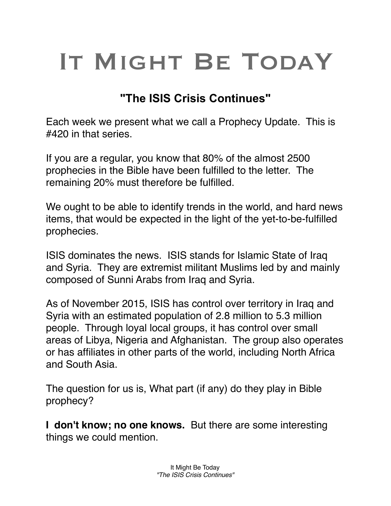## IT MIGHT BE TODAY

## **"The ISIS Crisis Continues"**

Each week we present what we call a Prophecy Update. This is #420 in that series.

If you are a regular, you know that 80% of the almost 2500 prophecies in the Bible have been fulfilled to the letter. The remaining 20% must therefore be fulfilled.

We ought to be able to identify trends in the world, and hard news items, that would be expected in the light of the yet-to-be-fulfilled prophecies.

ISIS dominates the news. ISIS stands for Islamic State of Iraq and Syria. They are extremist militant Muslims led by and mainly composed of Sunni Arabs from Iraq and Syria.

As of November 2015, ISIS has control over territory in Iraq and Syria with an estimated population of 2.8 million to 5.3 million people. Through loyal local groups, it has control over small areas of Libya, Nigeria and Afghanistan. The group also operates or has affiliates in other parts of the world, including North Africa and South Asia.

The question for us is, What part (if any) do they play in Bible prophecy?

**I don't know; no one knows.** But there are some interesting things we could mention.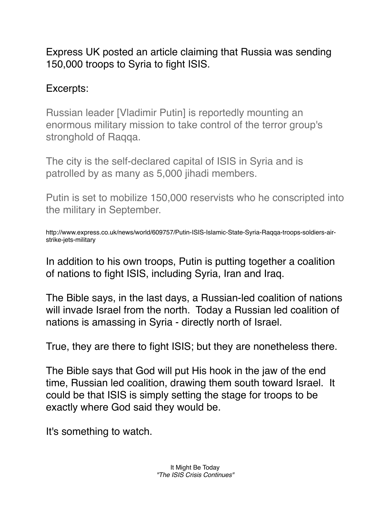Express UK posted an article claiming that Russia was sending 150,000 troops to Syria to fight ISIS.

## Excerpts:

Russian leader [Vladimir Putin] is reportedly mounting an enormous military mission to take control of the terror group's stronghold of Raqqa.

The city is the self-declared capital of ISIS in Syria and is patrolled by as many as 5,000 jihadi members.

Putin is set to mobilize 150,000 reservists who he conscripted into the military in September.

http://www.express.co.uk/news/world/609757/Putin-ISIS-Islamic-State-Syria-Raqqa-troops-soldiers-airstrike-jets-military

In addition to his own troops, Putin is putting together a coalition of nations to fight ISIS, including Syria, Iran and Iraq.

The Bible says, in the last days, a Russian-led coalition of nations will invade Israel from the north. Today a Russian led coalition of nations is amassing in Syria - directly north of Israel.

True, they are there to fight ISIS; but they are nonetheless there.

The Bible says that God will put His hook in the jaw of the end time, Russian led coalition, drawing them south toward Israel. It could be that ISIS is simply setting the stage for troops to be exactly where God said they would be.

It's something to watch.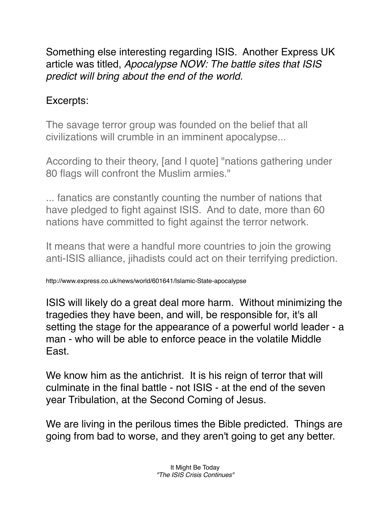Something else interesting regarding ISIS. Another Express UK article was titled, *Apocalypse NOW: The battle sites that ISIS predict will bring about the end of the world.*

## Excerpts:

The savage terror group was founded on the belief that all civilizations will crumble in an imminent apocalypse...

According to their theory, [and I quote] "nations gathering under 80 flags will confront the Muslim armies."

... fanatics are constantly counting the number of nations that have pledged to fight against ISIS. And to date, more than 60 nations have committed to fight against the terror network.

It means that were a handful more countries to join the growing anti-ISIS alliance, jihadists could act on their terrifying prediction.

http://www.express.co.uk/news/world/601641/Islamic-State-apocalypse

ISIS will likely do a great deal more harm. Without minimizing the tragedies they have been, and will, be responsible for, it's all setting the stage for the appearance of a powerful world leader - a man - who will be able to enforce peace in the volatile Middle East.

We know him as the antichrist. It is his reign of terror that will culminate in the final battle - not ISIS - at the end of the seven year Tribulation, at the Second Coming of Jesus.

We are living in the perilous times the Bible predicted. Things are going from bad to worse, and they aren't going to get any better.